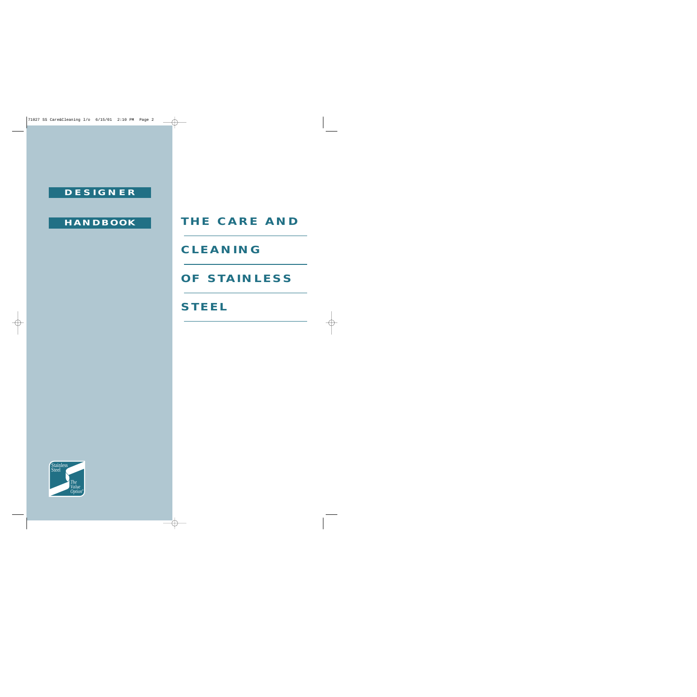## **DESIGNER**

## **HANDBOOK**

# **THE CARE AND**

## **CLEANING**

# **OF STAINLESS**

# **STEEL**

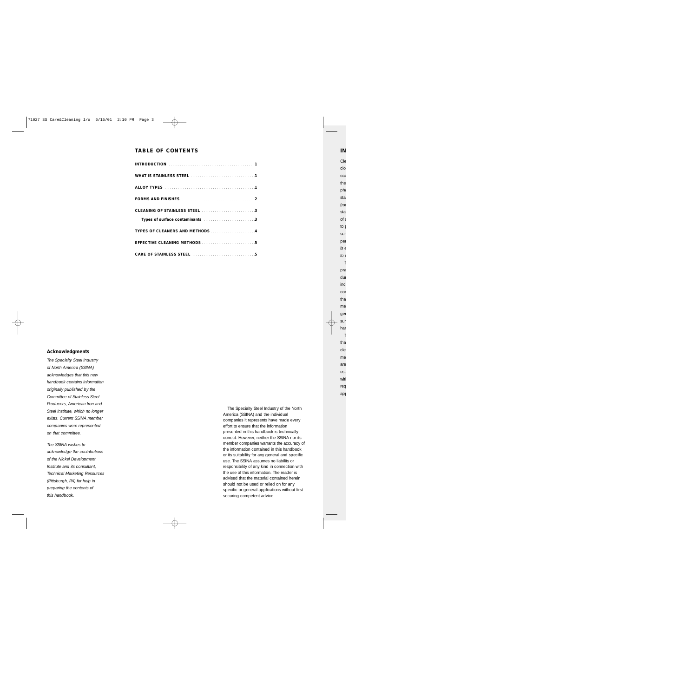## **TABLE OF CONTENTS**

#### **Acknowledgments**

*The Specialty Steel Industry of North America (SSINA) acknowledges that this new handbook contains information originally published by the Committee of Stainless Steel Producers, American Iron and Steel Institute, which no longer exists. Current SSINA member companies were represented on that committee.*

*The SSINA wishes to acknowledge the contributions of the Nickel Development Institute and its consultant, Technical Marketing Resources (Pittsburgh, PA) for help in preparing the contents of this handbook.*

The Specialty Steel Industry of the North America (SSINA) and the individual companies it represents have made every effort to ensure that the information presented in this handbook is technically correct. However, neither the SSINA nor its member companies warrants the accuracy of the information contained in this handbook or its suitability for any general and specific use. The SSINA assumes no liability or responsibility of any kind in connection with the use of this information. The reader is advised that the material contained herein should not be used or relied on for any specific or general applications without first securing competent advice.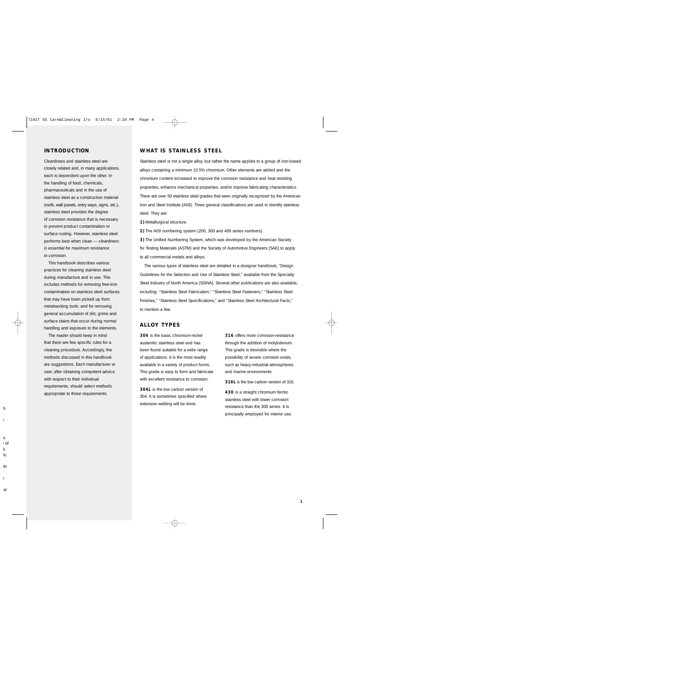### **INTRODUCTION**

Cleanliness and stainless steel are closely related and, in many applications, each is dependent upon the other. In the handling of food, chemicals, pharmaceuticals and in the use of stainless steel as a construction material (roofs, wall panels, entry ways, signs, etc.), stainless steel provides the degree of corrosion resistance that is necessary to prevent product contamination or surface rusting. However, stainless steel performs best when clean — *cleanliness is essential for maximum resistance to corrosion*.

This handbook describes various practices for cleaning stainless steel during manufacture and in use. This includes methods for removing free-iron contamination on stainless steel surfaces that may have been picked up from metalworking tools; and for removing general accumulation of dirt, grime and surface stains that occur during normal handling and exposure to the elements.

The reader should keep in mind that there are few specific rules for a cleaning procedure. Accordingly, the methods discussed in this handbook are suggestions. Each manufacturer or user, after obtaining competent advice with respect to their individual requirements, should select methods appropriate to those requirements.

## **WHAT IS STAINLESS STEEL**

Stainless steel is not a single alloy, but rather the name applies to a group of iron-based alloys containing a minimum 10.5% chromium. Other elements are added and the chromium content increased to improve the corrosion resistance and heat resisting properties, enhance mechanical properties, and/or improve fabricating characteristics. There are over 50 stainless steel grades that were originally recognized by the American Iron and Steel Institute (AISI). Three general classifications are used to identify stainless steel. They are:

**1)** Metallurgical structure.

**2)** The AISI numbering system (200, 300 and 400 series numbers).

**3)** The Unified Numbering System, which was developed by the American Society for Testing Materials (ASTM) and the Society of Automotive Engineers (SAE) to apply to all commercial metals and alloys.

The various types of stainless steel are detailed in a designer handbook, "Design Guidelines for the Selection and Use of Stainless Steel," available from the Specialty Steel Industry of North America (SSINA). Several other publications are also available, including: "Stainless Steel Fabrication," "Stainless Steel Fasteners," "Stainless Steel Finishes," "Stainless Steel Specifications," and "Stainless Steel Architectural Facts," to mention a few.

## **ALLOY TYPES**

**304** is the basic chromium-nickel austenitic stainless steel and has been found suitable for a wide range of applications. It is the most readily available in a variety of product forms. This grade is easy to form and fabricate with excellent resistance to corrosion.

**304L** is the low carbon version of 304. It is sometimes specified where extensive welding will be done.

**316** offers more corrosion-resistance through the addition of molybdenum. This grade is desirable where the possibility of severe corrosion exists, such as heavy industrial atmospheres and marine environments.

**316L** is the low carbon version of 316.

**430** is a straight chromium ferritic stainless steel with lower corrosion resistance than the 300 series. It is principally employed for interior use.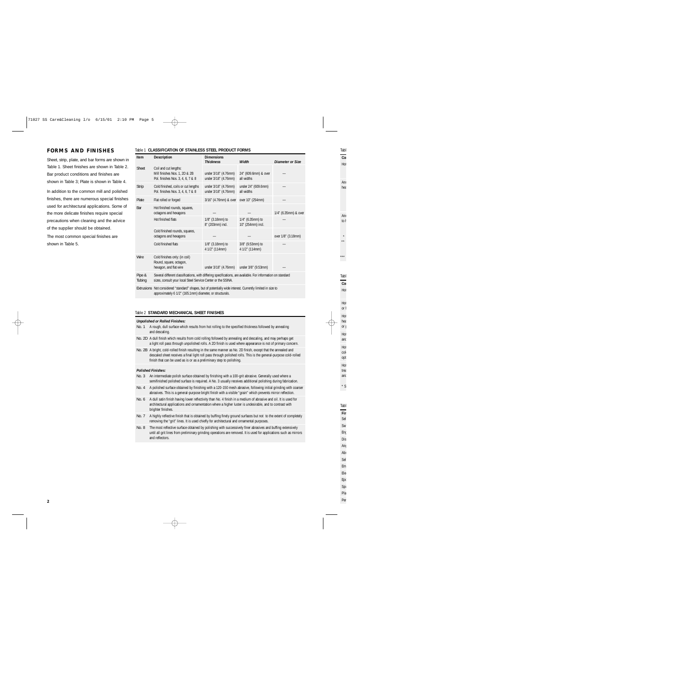## **FORMS AND FINISHES**

Sheet, strip, plate, and bar forms are shown in Table 1. Sheet finishes are shown in Table 2. Bar product conditions and finishes are shown in Table 3; Plate is shown in Table 4.

In addition to the common mill and polished finishes, there are numerous special finishes used for architectural applications. Some of the more delicate finishes require special precautions when cleaning and the advice of the supplier should be obtained.

The most common special finishes are shown in Table 5.

#### Table 1 **CLASSIFICATION OF STAINLESS STEEL PRODUCT FORMS**

| Item             | <b>Description</b>                                                                                                                                                           | <b>Dimensions</b><br><b>Thickness</b>        | Width                                    | Diameter or Size     |
|------------------|------------------------------------------------------------------------------------------------------------------------------------------------------------------------------|----------------------------------------------|------------------------------------------|----------------------|
| <b>Sheet</b>     | Coil and cut lengths:<br>Mill finishes Nos. 1, 2D & 2B<br>Pol. finishes Nos. 3, 4, 6, 7 & 8                                                                                  | under 3/16" (4.76mm)<br>under 3/16" (4.76mm) | 24" (609.6mm) & over<br>all widths       |                      |
| <b>Strip</b>     | Cold finished, coils or cut lengths<br>Pol. finishes Nos. 3, 4, 6, 7 & 8                                                                                                     | under 3/16" (4.76mm)<br>under 3/16" (4.76mm) | under 24" (609.6mm)<br>all widths        |                      |
| Plate            | Flat rolled or forged                                                                                                                                                        | 3/16" (4.76mm) & over                        | over 10" (254mm)                         |                      |
| Bar              | Hot finished rounds, squares,<br>octagons and hexagons                                                                                                                       |                                              |                                          | 1/4" (6.35mm) & over |
|                  | Hot finished flats                                                                                                                                                           | 1/8" (3.18mm) to<br>8" (203mm) incl.         | $1/4$ " (6.35mm) to<br>10" (254mm) incl. |                      |
|                  | Cold finished rounds, squares,<br>octagons and hexagons                                                                                                                      |                                              |                                          | over 1/8" (3.18mm)   |
|                  | Cold finished flats                                                                                                                                                          | 1/8" (3.18mm) to<br>4 1/2" (114mm)           | 3/8" (9.53mm) to<br>4 1/2" (114mm)       |                      |
| Wire             | Cold finishes only: (in coil)<br>Round, square, octagon,<br>hexagon, and flat wire                                                                                           | under 3/16" (4.76mm)                         | under 3/8" (9.53mm)                      |                      |
| Pipe &<br>Tubing | Several different classifications, with differing specifications, are available. For information on standard<br>sizes, consult your local Steel Service Center or the SSINA. |                                              |                                          |                      |
|                  | Extrusions Not considered "standard" shapes, but of potentially wide interest. Currently limited in size to<br>approximately 6 1/2" (165.1mm) diameter, or structurals.      |                                              |                                          |                      |

#### Table 2 **STANDARD MECHANICAL SHEET FINISHES**

#### *Unpolished or Rolled Finishes:*

- No. 1 A rough, dull surface which results from hot rolling to the specified thickness followed by annealing and descaling.
- No. 2D A dull finish which results from cold rolling followed by annealing and descaling, and may perhaps get a light roll pass through unpolished rolls. A 2D finish is used where appearance is not of primary concern.
- No. 2B A bright, cold-rolled finish resulting in the same manner as No. 2D finish, except that the annealed and descaled sheet receives a final light roll pass through polished rolls. This is the general-purpose cold-rolled finish that can be used as is or as a preliminary step to polishing.

#### *Polished Finishes:*

- No. 3 An intermediate polish surface obtained by finishing with a 100-grit abrasive. Generally used where a semifinished polished surface is required. A No. 3 usually receives additional polishing during fabrication.
- No. 4 A polished surface obtained by finishing with a 120-150 mesh abrasive, following initial grinding with coarser abrasives. This is a general-purpose bright finish with a visible "grain" which prevents mirror reflection.
- No. 6 A dull satin finish having lower reflectivity than No. 4 finish in a medium of abrasive and oil. It is used for architectural applications and ornamentation where a higher luster is undesirable, and to contrast with brighter finishes.
- No. 7 A highly reflective finish that is obtained by buffing finely ground surfaces but not to the extent of completely removing the "grit" lines. It is used chiefly for architectural and ornamental purposes.
- No. 8 The most reflective surface obtained by polishing with successively finer abrasives and buffing extensively until all grit lines from preliminary grinding operations are removed. It is used for applications such as mirrors and reflectors.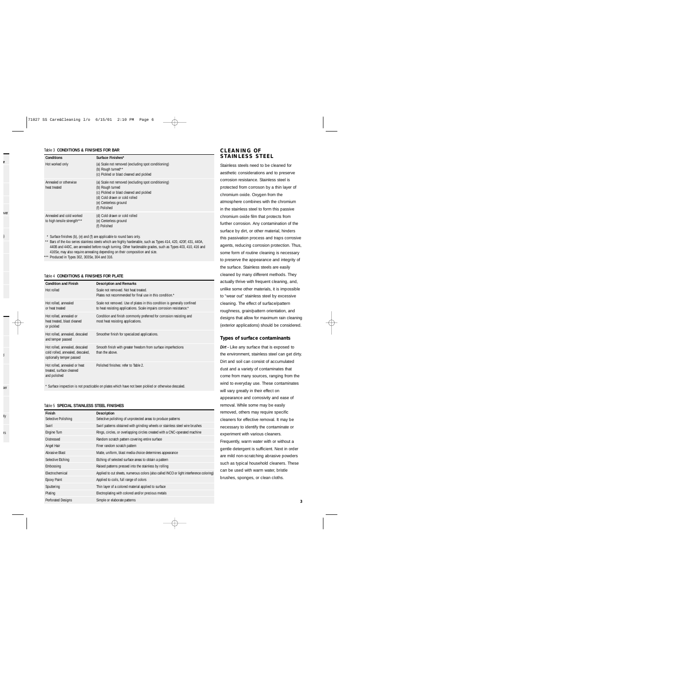#### Table 3 **CONDITIONS & FINISHES FOR BAR**

| Conditions                                              | Surface Finishes*                                                                                                                                                                             |  |
|---------------------------------------------------------|-----------------------------------------------------------------------------------------------------------------------------------------------------------------------------------------------|--|
| Hot worked only                                         | (a) Scale not removed (excluding spot conditioning)<br>(b) Rough turned**<br>(c) Pickled or blast cleaned and pickled                                                                         |  |
| Annealed or otherwise<br>heat treated                   | (a) Scale not removed (excluding spot conditioning)<br>(b) Rough turned<br>(c) Pickled or blast cleaned and pickled<br>(d) Cold drawn or cold rolled<br>(e) Centerless ground<br>(f) Polished |  |
| Annealed and cold worked<br>to high tensile strength*** | (d) Cold drawn or cold rolled<br>(e) Centerless ground<br>(f) Polished                                                                                                                        |  |

\* Surface finishes (b), (e) and (f) are applicable to round bars only.

\*\* Bars of the 4xx series stainless steels which are highly hardenable, such as Types 414, 420, 420F, 431, 440A, 440B and 440C, are annealed before rough turning. Other hardenable grades, such as Types 403, 410, 416 and 416Se, may also require annealing depending on their composition and size.

\*\*\* Produced in Types 302, 303Se, 304 and 316.

### Table 4 **CONDITIONS & FINISHES FOR PLATE**

| <b>Condition and Finish</b>                                                                    | <b>Description and Remarks</b>                                                                                                                   |  |  |
|------------------------------------------------------------------------------------------------|--------------------------------------------------------------------------------------------------------------------------------------------------|--|--|
| Hot rolled                                                                                     | Scale not removed. Not heat treated.<br>Plates not recommended for final use in this condition.*                                                 |  |  |
| Hot rolled, annealed<br>or heat treated                                                        | Scale not removed. Use of plates in this condition is generally confined<br>to heat resisting applications. Scale impairs corrosion resistance.* |  |  |
| Hot rolled, annealed or<br>heat treated, blast cleaned<br>or pickled                           | Condition and finish commonly preferred for corrosion resisting and<br>most heat resisting applications.                                         |  |  |
| Hot rolled, annealed, descaled<br>and temper passed                                            | Smoother finish for specialized applications.                                                                                                    |  |  |
| Hot rolled, annealed, descaled<br>cold rolled, annealed, descaled,<br>optionally temper passed | Smooth finish with greater freedom from surface imperfections<br>than the above.                                                                 |  |  |
| Hot rolled, annealed or heat<br>treated, surface cleaned<br>and polished                       | Polished finishes: refer to Table 2.                                                                                                             |  |  |

\* Surface inspection is not practicable on plates which have not been pickled or otherwise descaled.

#### Table 5 **SPECIAL STAINLESS STEEL FINISHES**

| Finish              | Description                                                                              | removed, others may require specific          |  |
|---------------------|------------------------------------------------------------------------------------------|-----------------------------------------------|--|
| Selective Polishing | Selective polishing of unprotected areas to produce patterns                             | cleaners for effective removal. It may be     |  |
| Swirl               | Swirl patterns obtained with grinding wheels or stainless steel wire brushes             | necessary to identify the contaminate or      |  |
| Engine Turn         | Rings, circles, or overlapping circles created with a CNC-operated machine               | experiment with various cleaners.             |  |
| <b>Distressed</b>   | Random scratch pattern covering entire surface                                           | Frequently, warm water with or without a      |  |
| Angel Hair          | Finer random scratch pattern                                                             | gentle detergent is sufficient. Next in order |  |
| Abrasive Blast      | Matte, uniform, blast media choice determines appearance                                 |                                               |  |
| Selective Etching   | Etching of selected surface areas to obtain a pattern                                    | are mild non-scratching abrasive powders      |  |
| Embossing           | Raised patterns pressed into the stainless by rolling                                    | such as typical household cleaners. These     |  |
| Electrochemical     | Applied to cut sheets, numerous colors (also called INCO or light interference coloring) | can be used with warm water, bristle          |  |
| Epoxy Paint         | Applied to coils, full range of colors                                                   | brushes, sponges, or clean cloths.            |  |
| Sputtering          | Thin layer of a colored material applied to surface                                      |                                               |  |
| Plating             | Electroplating with colored and/or precious metals                                       |                                               |  |
| Perforated Designs  | Simple or elaborate patterns                                                             |                                               |  |

## **CLEANING OF STAINLESS STEEL**

Stainless steels need to be cleaned for aesthetic considerations and to preserve corrosion resistance. Stainless steel is protected from corroson by a thin layer of chromium oxide. Oxygen from the atmosphere combines with the chromium in the stainless steel to form this passive chromium oxide film that protects from further corrosion. Any contamination of the surface by dirt, or other material, hinders this passivation process and traps corrosive agents, reducing corrosion protection. Thus, some form of routine cleaning is necessary to preserve the appearance and integrity of the surface. Stainless steels are easily cleaned by many different methods. They actually thrive with frequent cleaning, and, unlike some other materials, it is impossible to "wear out" stainless steel by excessive cleaning. The effect of surface/pattern roughness, grain/pattern orientation, and designs that allow for maximum rain cleaning (exterior applications) should be considered.

### **Types of surface contaminants**

**Dirt -** Like any surface that is exposed to the environment, stainless steel can get dirty. Dirt and soil can consist of accumulated dust and a variety of contaminates that come from many sources, ranging from the wind to everyday use. These contaminates will vary greatly in their effect on appearance and corrosivity and ease of removal. While some may be easily removed, others may require specific cleaners for effective removal. It may be necessary to identify the contaminate or experiment with various cleaners. Frequently, warm water with or without a gentle detergent is sufficient. Next in order are mild non-scratching abrasive powders such as typical household cleaners. These can be used with warm water, bristle brushes, sponges, or clean cloths.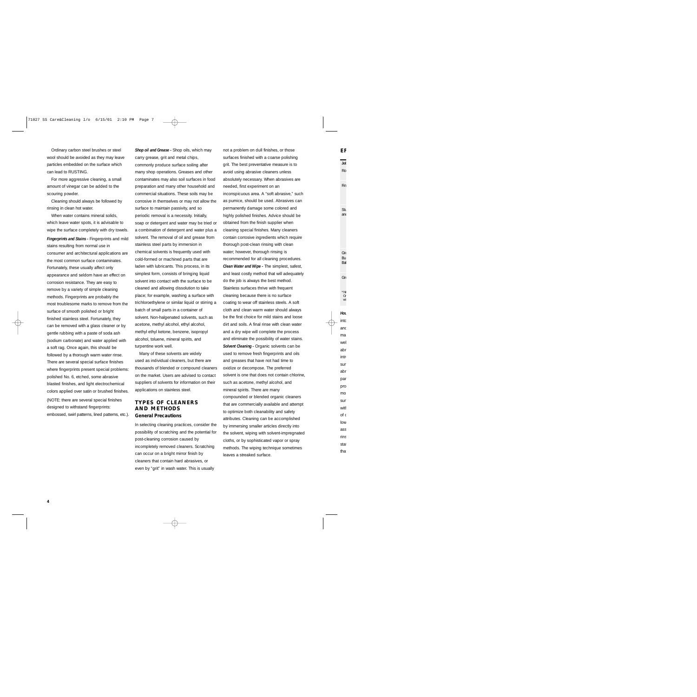Ordinary carbon steel brushes or steel wool should be avoided as they may leave particles embedded on the surface which can lead to RUSTING.

For more aggressive cleaning, a small amount of vinegar can be added to the scouring powder.

Cleaning should always be followed by rinsing in clean hot water.

When water contains mineral solids, which leave water spots, it is advisable to wipe the surface completely with dry towels.

*Fingerprints and Stains - Fingerprints and mild* stains resulting from normal use in consumer and architectural applications are the most common surface contaminates. Fortunately, these usually affect only appearance and seldom have an effect on corrosion resistance. They are easy to remove by a variety of simple cleaning methods. Fingerprints are probably the most troublesome marks to remove from the surface of smooth polished or bright finished stainless steel. Fortunately, they can be removed with a glass cleaner or by gentle rubbing with a paste of soda ash (sodium carbonate) and water applied with a soft rag. Once again, this should be followed by a thorough warm water rinse. There are several special surface finishes where fingerprints present special problems: polished No. 6, etched, some abrasive blasted finishes, and light electrochemical colors applied over satin or brushed finishes. (NOTE: there are several special finishes

designed to withstand fingerprints: embossed, swirl patterns, lined patterns, etc.). *Shop oil and Grease -* Shop oils, which may carry grease, grit and metal chips, commonly produce surface soiling after many shop operations. Greases and other contaminates may also soil surfaces in food preparation and many other household and commercial situations. These soils may be corrosive in themselves or may not allow the surface to maintain passivity, and so periodic removal is a necessity. Initially, soap or detergent and water may be tried or a combination of detergent and water plus a solvent. The removal of oil and grease from stainless steel parts by immersion in chemical solvents is frequently used with cold-formed or machined parts that are laden with lubricants. This process, in its simplest form, consists of bringing liquid solvent into contact with the surface to be cleaned and allowing dissolution to take place; for example, washing a surface with trichloroethylene or similar liquid or stirring a batch of small parts in a container of solvent. Non-halgenated solvents, such as acetone, methyl alcohol, ethyl alcohol, methyl ethyl ketone, benzene, isopropyl alcohol, toluene, mineral spirits, and turpentine work well.

Many of these solvents are widely used as individual cleaners, but there are thousands of blended or compound cleaners on the market. Users are advised to contact suppliers of solvents for information on their applications on stainless steel.

### **TYPES OF CLEANERS AND METHODS General Precautions**

In selecting cleaning practices, consider the possibility of scratching and the potential for post-cleaning corrosion caused by incompletely removed cleaners. Scratching can occur on a bright mirror finish by cleaners that contain hard abrasives, or even by "grit" in wash water. This is usually

not a problem on dull finishes, or those surfaces finished with a coarse polishing grit. The best preventative measure is to avoid using abrasive cleaners unless absolutely necessary. When abrasives are needed, first experiment on an inconspicuous area. A "soft abrasive," such as pumice, should be used. Abrasives can permanently damage some colored and highly polished finishes. Advice should be obtained from the finish supplier when cleaning special finishes. Many cleaners contain corrosive ingredients which require thorough post-clean rinsing with clean water; however, thorough rinsing is recommended for all cleaning procedures. *Clean Water and Wipe -* The simplest, safest, and least costly method that will adequately do the job is always the best method. Stainless surfaces thrive with frequent cleaning because there is no surface coating to wear off stainless steels. A soft cloth and clean warm water should always be the first choice for mild stains and loose dirt and soils. A final rinse with clean water and a dry wipe will complete the process and eliminate the possibility of water stains. **Solvent Cleaning - Organic solvents can be** used to remove fresh fingerprints and oils and greases that have not had time to oxidize or decompose. The preferred solvent is one that does not contain chlorine, such as acetone, methyl alcohol, and mineral spirits. There are many compounded or blended organic cleaners that are commercially available and attempt to optimize both cleanability and safety attributes. Cleaning can be accomplished by immersing smaller articles directly into the solvent, wiping with solvent-impregnated cloths, or by sophisticated vapor or spray methods. The wiping technique sometimes leaves a streaked surface.